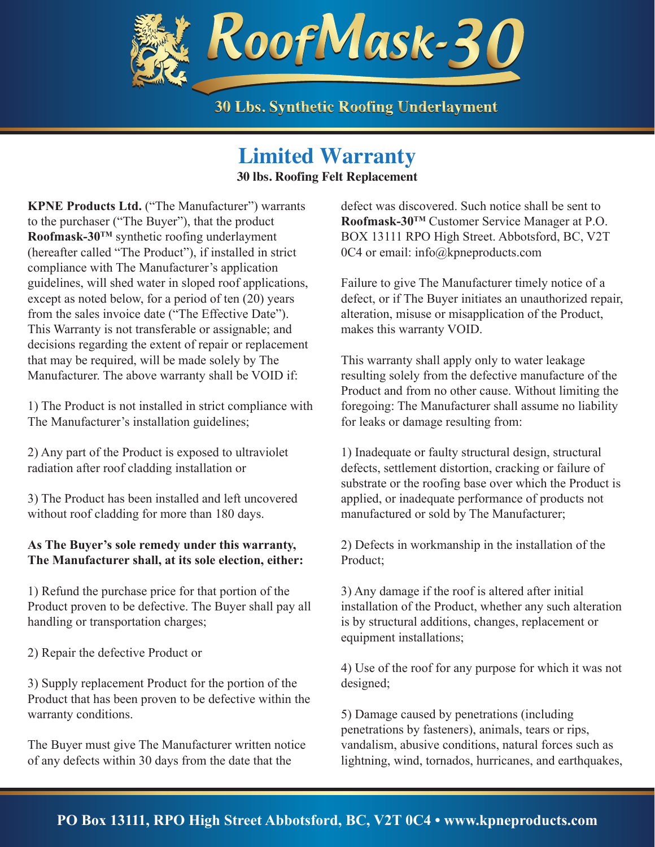

### **Limited Warranty**

**30 lbs. Roofing Felt Replacement**

**KPNE Products Ltd.** ("The Manufacturer") warrants to the purchaser ("The Buyer"), that the product **Roofmask-30TM** synthetic roofing underlayment (hereafter called "The Product"), if installed in strict compliance with The Manufacturer's application guidelines, will shed water in sloped roof applications, except as noted below, for a period of ten (20) years from the sales invoice date ("The Effective Date"). This Warranty is not transferable or assignable; and decisions regarding the extent of repair or replacement that may be required, will be made solely by The Manufacturer. The above warranty shall be VOID if:

1) The Product is not installed in strict compliance with The Manufacturer's installation guidelines;

2) Any part of the Product is exposed to ultraviolet radiation after roof cladding installation or

3) The Product has been installed and left uncovered without roof cladding for more than 180 days.

### **As The Buyer's sole remedy under this warranty, The Manufacturer shall, at its sole election, either:**

1) Refund the purchase price for that portion of the Product proven to be defective. The Buyer shall pay all handling or transportation charges;

2) Repair the defective Product or

3) Supply replacement Product for the portion of the Product that has been proven to be defective within the warranty conditions.

The Buyer must give The Manufacturer written notice of any defects within 30 days from the date that the

defect was discovered. Such notice shall be sent to **Roofmask-30TM** Customer Service Manager at P.O. BOX 13111 RPO High Street. Abbotsford, BC, V2T 0C4 or email: info@kpneproducts.com

Failure to give The Manufacturer timely notice of a defect, or if The Buyer initiates an unauthorized repair, alteration, misuse or misapplication of the Product, makes this warranty VOID.

This warranty shall apply only to water leakage resulting solely from the defective manufacture of the Product and from no other cause. Without limiting the foregoing: The Manufacturer shall assume no liability for leaks or damage resulting from:

1) Inadequate or faulty structural design, structural defects, settlement distortion, cracking or failure of substrate or the roofing base over which the Product is applied, or inadequate performance of products not manufactured or sold by The Manufacturer;

2) Defects in workmanship in the installation of the Product;

3) Any damage if the roof is altered after initial installation of the Product, whether any such alteration is by structural additions, changes, replacement or equipment installations;

4) Use of the roof for any purpose for which it was not designed;

5) Damage caused by penetrations (including penetrations by fasteners), animals, tears or rips, vandalism, abusive conditions, natural forces such as lightning, wind, tornados, hurricanes, and earthquakes,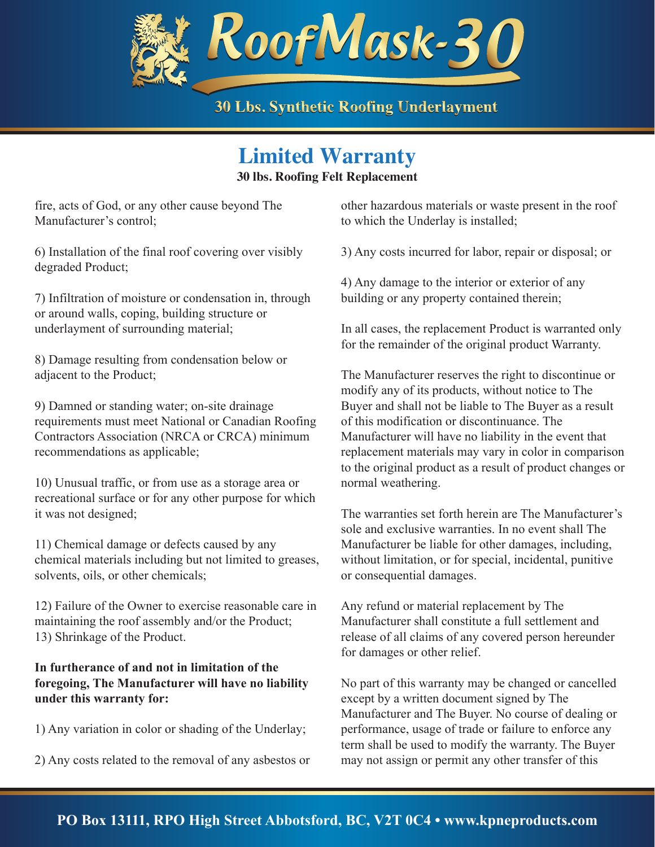

## **Limited Warranty**

**30 lbs. Roofing Felt Replacement**

fire, acts of God, or any other cause beyond The Manufacturer's control;

6) Installation of the final roof covering over visibly degraded Product;

7) Infiltration of moisture or condensation in, through or around walls, coping, building structure or underlayment of surrounding material;

8) Damage resulting from condensation below or adjacent to the Product;

9) Damned or standing water; on-site drainage requirements must meet National or Canadian Roofing Contractors Association (NRCA or CRCA) minimum recommendations as applicable;

10) Unusual traffic, or from use as a storage area or recreational surface or for any other purpose for which it was not designed;

11) Chemical damage or defects caused by any chemical materials including but not limited to greases, solvents, oils, or other chemicals;

12) Failure of the Owner to exercise reasonable care in maintaining the roof assembly and/or the Product; 13) Shrinkage of the Product.

### **In furtherance of and not in limitation of the foregoing, The Manufacturer will have no liability under this warranty for:**

1) Any variation in color or shading of the Underlay;

2) Any costs related to the removal of any asbestos or

other hazardous materials or waste present in the roof to which the Underlay is installed;

3) Any costs incurred for labor, repair or disposal; or

4) Any damage to the interior or exterior of any building or any property contained therein;

In all cases, the replacement Product is warranted only for the remainder of the original product Warranty.

The Manufacturer reserves the right to discontinue or modify any of its products, without notice to The Buyer and shall not be liable to The Buyer as a result of this modification or discontinuance. The Manufacturer will have no liability in the event that replacement materials may vary in color in comparison to the original product as a result of product changes or normal weathering.

The warranties set forth herein are The Manufacturer's sole and exclusive warranties. In no event shall The Manufacturer be liable for other damages, including, without limitation, or for special, incidental, punitive or consequential damages.

Any refund or material replacement by The Manufacturer shall constitute a full settlement and release of all claims of any covered person hereunder for damages or other relief.

No part of this warranty may be changed or cancelled except by a written document signed by The Manufacturer and The Buyer. No course of dealing or performance, usage of trade or failure to enforce any term shall be used to modify the warranty. The Buyer may not assign or permit any other transfer of this